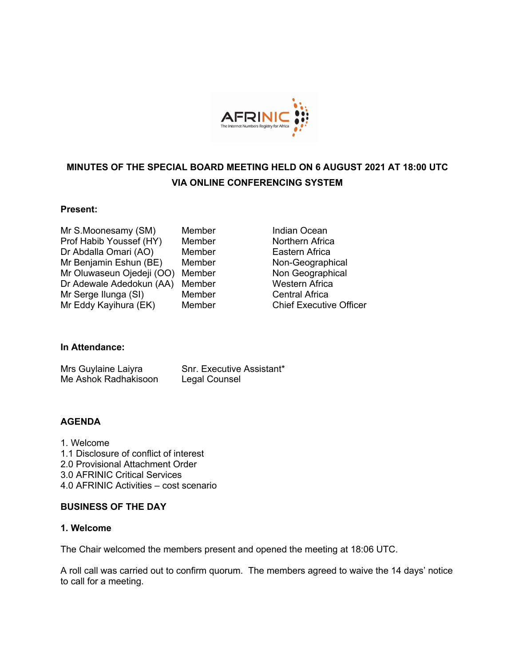

# **MINUTES OF THE SPECIAL BOARD MEETING HELD ON 6 AUGUST 2021 AT 18:00 UTC VIA ONLINE CONFERENCING SYSTEM**

#### **Present:**

| Mr S.Moonesamy (SM)       | Membe |
|---------------------------|-------|
| Prof Habib Youssef (HY)   | Membe |
| Dr Abdalla Omari (AO)     | Membe |
| Mr Benjamin Eshun (BE)    | Membe |
| Mr Oluwaseun Ojedeji (OO) | Membe |
| Dr Adewale Adedokun (AA)  | Membe |
| Mr Serge Ilunga (SI)      | Membe |
| Mr Eddy Kayihura (EK)     | Membe |

er **Indian Ocean** er **Northern Africa** er **Eastern Africa** er **Non-Geographical** er **Non Geographical** er **Canade Mestern Africa** er **Central Africa** er **Chief Executive Officer** 

## **In Attendance:**

| Mrs Guylaine Laiyra  | Snr. Executive Assistant* |
|----------------------|---------------------------|
| Me Ashok Radhakisoon | Legal Counsel             |

## **AGENDA**

1. Welcome 1.1 Disclosure of conflict of interest 2.0 Provisional Attachment Order 3.0 AFRINIC Critical Services 4.0 AFRINIC Activities – cost scenario

#### **BUSINESS OF THE DAY**

## **1. Welcome**

The Chair welcomed the members present and opened the meeting at 18:06 UTC.

A roll call was carried out to confirm quorum. The members agreed to waive the 14 days' notice to call for a meeting.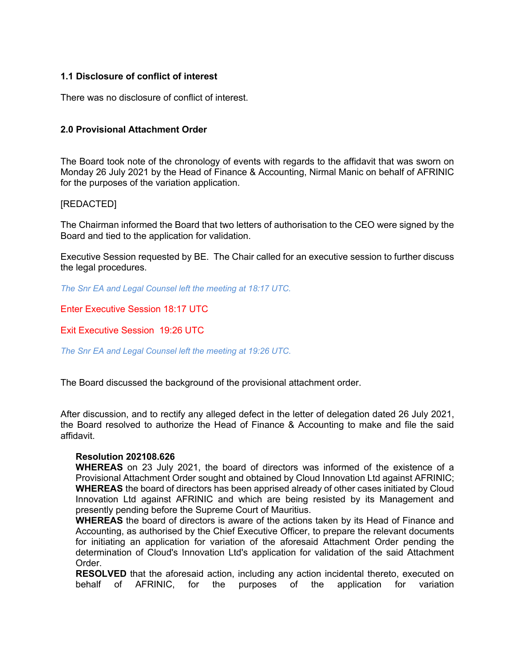## **1.1 Disclosure of conflict of interest**

There was no disclosure of conflict of interest.

## **2.0 Provisional Attachment Order**

The Board took note of the chronology of events with regards to the affidavit that was sworn on Monday 26 July 2021 by the Head of Finance & Accounting, Nirmal Manic on behalf of AFRINIC for the purposes of the variation application.

### [REDACTED]

The Chairman informed the Board that two letters of authorisation to the CEO were signed by the Board and tied to the application for validation.

Executive Session requested by BE. The Chair called for an executive session to further discuss the legal procedures.

*The Snr EA and Legal Counsel left the meeting at 18:17 UTC.*

Enter Executive Session 18:17 UTC

Exit Executive Session 19:26 UTC

*The Snr EA and Legal Counsel left the meeting at 19:26 UTC.*

The Board discussed the background of the provisional attachment order.

After discussion, and to rectify any alleged defect in the letter of delegation dated 26 July 2021, the Board resolved to authorize the Head of Finance & Accounting to make and file the said affidavit.

#### **Resolution 202108.626**

**WHEREAS** on 23 July 2021, the board of directors was informed of the existence of a Provisional Attachment Order sought and obtained by Cloud Innovation Ltd against AFRINIC; **WHEREAS** the board of directors has been apprised already of other cases initiated by Cloud Innovation Ltd against AFRINIC and which are being resisted by its Management and presently pending before the Supreme Court of Mauritius.

**WHEREAS** the board of directors is aware of the actions taken by its Head of Finance and Accounting, as authorised by the Chief Executive Officer, to prepare the relevant documents for initiating an application for variation of the aforesaid Attachment Order pending the determination of Cloud's Innovation Ltd's application for validation of the said Attachment Order.

**RESOLVED** that the aforesaid action, including any action incidental thereto, executed on behalf of AFRINIC, for the purposes of the application for variation